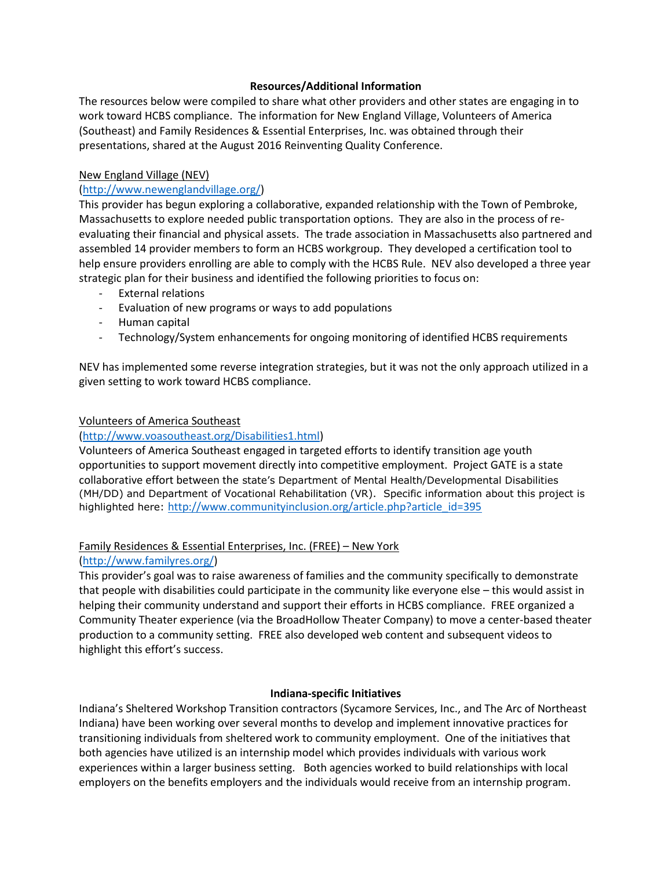## **Resources/Additional Information**

The resources below were compiled to share what other providers and other states are engaging in to work toward HCBS compliance. The information for New England Village, Volunteers of America (Southeast) and Family Residences & Essential Enterprises, Inc. was obtained through their presentations, shared at the August 2016 Reinventing Quality Conference.

## New England Village (NEV)

## [\(http://www.newenglandvillage.org/\)](http://www.newenglandvillage.org/)

This provider has begun exploring a collaborative, expanded relationship with the Town of Pembroke, Massachusetts to explore needed public transportation options. They are also in the process of reevaluating their financial and physical assets. The trade association in Massachusetts also partnered and assembled 14 provider members to form an HCBS workgroup. They developed a certification tool to help ensure providers enrolling are able to comply with the HCBS Rule. NEV also developed a three year strategic plan for their business and identified the following priorities to focus on:

- External relations
- Evaluation of new programs or ways to add populations
- Human capital
- Technology/System enhancements for ongoing monitoring of identified HCBS requirements

NEV has implemented some reverse integration strategies, but it was not the only approach utilized in a given setting to work toward HCBS compliance.

#### Volunteers of America Southeast

## [\(http://www.voasoutheast.org/Disabilities1.html\)](http://www.voasoutheast.org/Disabilities1.html)

Volunteers of America Southeast engaged in targeted efforts to identify transition age youth opportunities to support movement directly into competitive employment. Project GATE is a state collaborative effort between the state's Department of Mental Health/Developmental Disabilities (MH/DD) and Department of Vocational Rehabilitation (VR). Specific information about this project is highlighted here: [http://www.communityinclusion.org/article.php?article\\_id=395](http://www.communityinclusion.org/article.php?article_id=395)

# Family Residences & Essential Enterprises, Inc. (FREE) – New York

#### [\(http://www.familyres.org/\)](http://www.familyres.org/)

This provider's goal was to raise awareness of families and the community specifically to demonstrate that people with disabilities could participate in the community like everyone else – this would assist in helping their community understand and support their efforts in HCBS compliance. FREE organized a Community Theater experience (via the BroadHollow Theater Company) to move a center-based theater production to a community setting. FREE also developed web content and subsequent videos to highlight this effort's success.

#### **Indiana-specific Initiatives**

Indiana's Sheltered Workshop Transition contractors (Sycamore Services, Inc., and The Arc of Northeast Indiana) have been working over several months to develop and implement innovative practices for transitioning individuals from sheltered work to community employment. One of the initiatives that both agencies have utilized is an internship model which provides individuals with various work experiences within a larger business setting. Both agencies worked to build relationships with local employers on the benefits employers and the individuals would receive from an internship program.